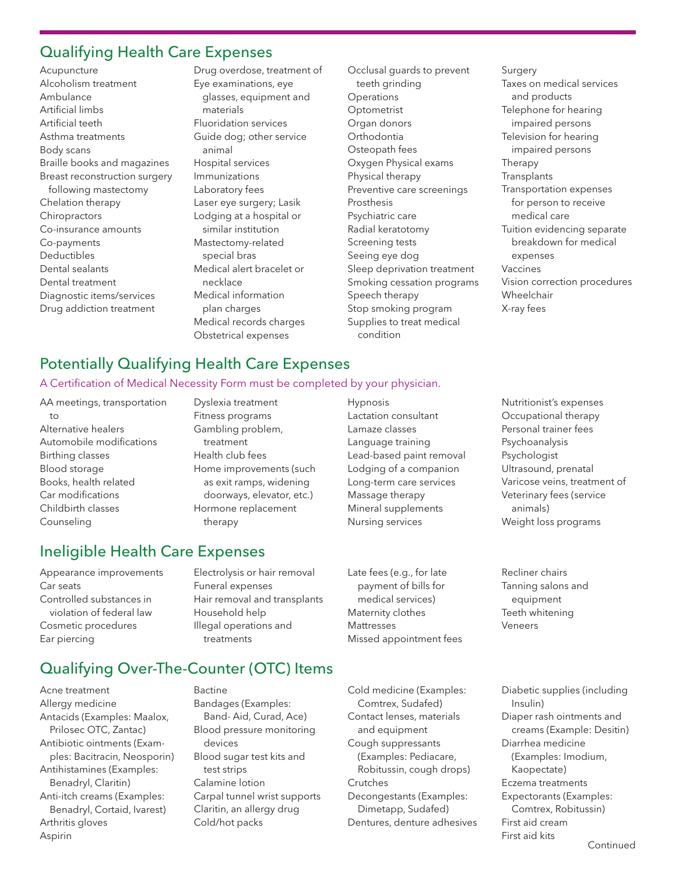#### Qualifying Health Care Expenses

Acupuncture Alcoholism treatment Ambulance Artificial limbs Artificial teeth Asthma treatments Body scans Braille books and magazines Breast reconstruction surgery following mastectomy Chelation therapy **Chiropractors** Co-insurance amounts Co-payments Deductibles Dental sealants Dental treatment Diagnostic items/services Drug addiction treatment

Drug overdose, treatment of Eye examinations, eye glasses, equipment and materials Fluoridation services Guide dog; other service animal Hospital services Immunizations Laboratory fees Laser eye surgery; Lasik Lodging at a hospital or similar institution Mastectomy-related special bras Medical alert bracelet or necklace Medical information plan charges Medical records charges Obstetrical expenses

Occlusal guards to prevent teeth grinding **Operations** Optometrist Organ donors Orthodontia Osteopath fees Oxygen Physical exams Physical therapy Preventive care screenings Prosthesis Psychiatric care Radial keratotomy Screening tests Seeing eye dog Sleep deprivation treatment Smoking cessation programs Speech therapy Stop smoking program Supplies to treat medical condition

**Surgery** Taxes on medical services and products Telephone for hearing impaired persons Television for hearing impaired persons Therapy **Transplants** Transportation expenses for person to receive medical care Tuition evidencing separate breakdown for medical expenses Vaccines Vision correction procedures Wheelchair X-ray fees

## Potentially Qualifying Health Care Expenses

#### A Certification of Medical Necessity Form must be completed by your physician.

AA meetings, transportation to Alternative healers Automobile modifications Birthing classes Blood storage Books, health related Car modifications Childbirth classes Counseling

Dyslexia treatment Fitness programs Gambling problem, treatment Health club fees Home improvements (such as exit ramps, widening doorways, elevator, etc.) Hormone replacement therapy

Hypnosis Lactation consultant Lamaze classes Language training Lead-based paint removal Lodging of a companion Long-term care services Massage therapy Mineral supplements Nursing services

Psychologist Ultrasound, prenatal Varicose veins, treatment of Veterinary fees (service animals) Weight loss programs

Nutritionist's expenses Occupational therapy Personal trainer fees Psychoanalysis

Tanning salons and equipment Teeth whitening Veneers

Recliner chairs

Diabetic supplies (including Insulin) Diaper rash ointments and creams (Example: Desitin) Diarrhea medicine (Examples: Imodium, Kaopectate) Eczema treatments Expectorants (Examples: Comtrex, Robitussin) First aid cream First aid kits

# Ineligible Health Care Expenses

Appearance improvements Car seats Controlled substances in violation of federal law Cosmetic procedures Ear piercing

Electrolysis or hair removal Funeral expenses Hair removal and transplants Household help Illegal operations and treatments

Late fees (e.g., for late payment of bills for medical services) Maternity clothes Mattresses Missed appointment fees

# Qualifying Over-The-Counter (OTC) Items

Acne treatment Allergy medicine Antacids (Examples: Maalox, Prilosec OTC, Zantac) Antibiotic ointments (Examples: Bacitracin, Neosporin) Antihistamines (Examples: Benadryl, Claritin) Anti-itch creams (Examples: Benadryl, Cortaid, Ivarest) Arthritis gloves Aspirin

Bactine Bandages (Examples: Band- Aid, Curad, Ace) Blood pressure monitoring devices Blood sugar test kits and test strips Calamine lotion Carpal tunnel wrist supports Claritin, an allergy drug Cold/hot packs

Cold medicine (Examples: Comtrex, Sudafed) Contact lenses, materials and equipment Cough suppressants (Examples: Pediacare, Robitussin, cough drops) Crutches Decongestants (Examples: Dimetapp, Sudafed) Dentures, denture adhesives